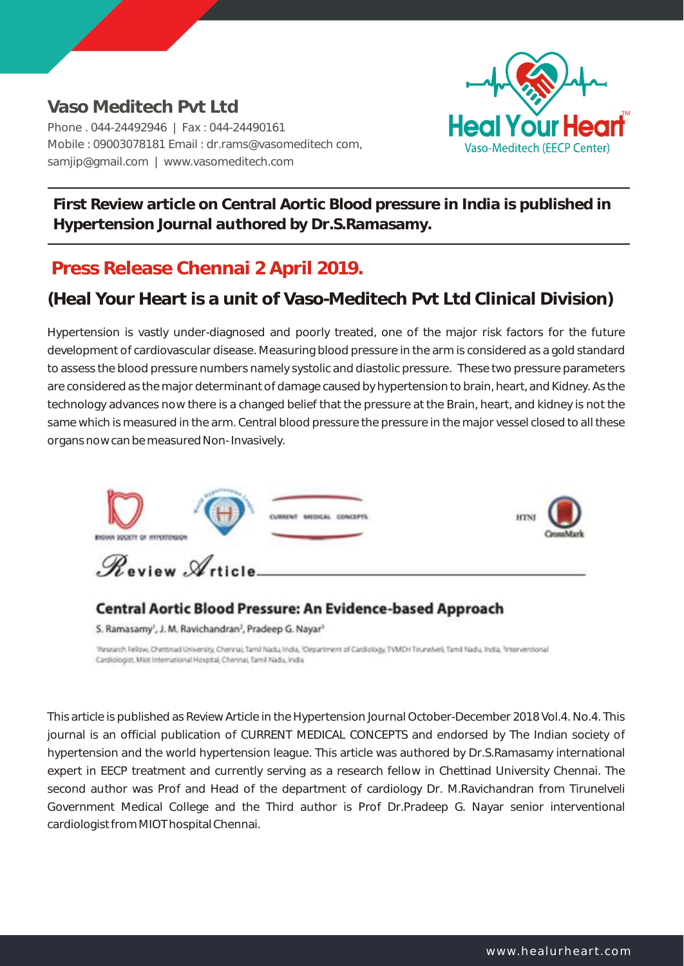**Vaso Meditech Pvt Ltd**  Phone . 044-24492946 | Fax : 044-24490161 Mobile : 09003078181 Email : dr.rams@vasomeditech com, samjip@gmail.com | www.vasomeditech.com



**First Review article on Central Aortic Blood pressure in India is published in Hypertension Journal authored by Dr.S.Ramasamy.** 

## **Press Release Chennai 2 April 2019.**

## **(Heal Your Heart is a unit of Vaso-Meditech Pvt Ltd Clinical Division)**

Hypertension is vastly under-diagnosed and poorly treated, one of the major risk factors for the future development of cardiovascular disease. Measuring blood pressure in the arm is considered as a gold standard to assess the blood pressure numbers namely systolic and diastolic pressure. These two pressure parameters are considered as the major determinant of damage caused by hypertension to brain, heart, and Kidney. As the technology advances now there is a changed belief that the pressure at the Brain, heart, and kidney is not the same which is measured in the arm. Central blood pressure the pressure in the major vessel closed to all these organs now can be measured Non- Invasively.



## Central Aortic Blood Pressure: An Evidence-based Approach

S. Ramasamy', J. M. Ravichandran<sup>3</sup>, Pradeep G. Nayar<sup>3</sup>

Research Fellow, Chettinad University, Chennai, Tamil Nadu, India, "Department of Cantiology, TVMCH Tirunelveli, Tamil Nadu, India, Priterventional Cardiologist, Miot International Hospital, Chennai, Tamil Nadu, India

This article is published as Review Article in the Hypertension Journal October-December 2018 Vol.4. No.4. This journal is an official publication of CURRENT MEDICAL CONCEPTS and endorsed by The Indian society of hypertension and the world hypertension league. This article was authored by Dr.S.Ramasamy international expert in EECP treatment and currently serving as a research fellow in Chettinad University Chennai. The second author was Prof and Head of the department of cardiology Dr. M.Ravichandran from Tirunelveli Government Medical College and the Third author is Prof Dr.Pradeep G. Nayar senior interventional cardiologist from MIOT hospital Chennai.